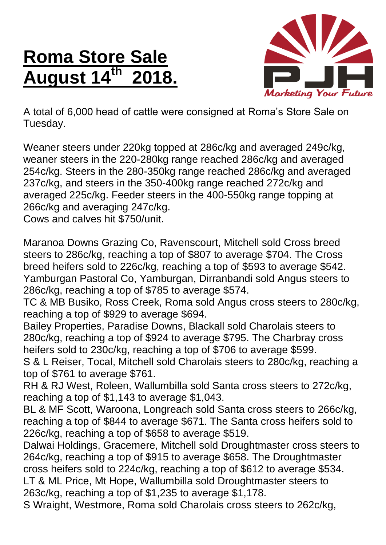## **Roma Store Sale August 14th 2018.**



A total of 6,000 head of cattle were consigned at Roma's Store Sale on Tuesday.

Weaner steers under 220kg topped at 286c/kg and averaged 249c/kg, weaner steers in the 220-280kg range reached 286c/kg and averaged 254c/kg. Steers in the 280-350kg range reached 286c/kg and averaged 237c/kg, and steers in the 350-400kg range reached 272c/kg and averaged 225c/kg. Feeder steers in the 400-550kg range topping at 266c/kg and averaging 247c/kg.

Cows and calves hit \$750/unit.

Maranoa Downs Grazing Co, Ravenscourt, Mitchell sold Cross breed steers to 286c/kg, reaching a top of \$807 to average \$704. The Cross breed heifers sold to 226c/kg, reaching a top of \$593 to average \$542. Yamburgan Pastoral Co, Yamburgan, Dirranbandi sold Angus steers to 286c/kg, reaching a top of \$785 to average \$574.

TC & MB Busiko, Ross Creek, Roma sold Angus cross steers to 280c/kg, reaching a top of \$929 to average \$694.

Bailey Properties, Paradise Downs, Blackall sold Charolais steers to 280c/kg, reaching a top of \$924 to average \$795. The Charbray cross heifers sold to 230c/kg, reaching a top of \$706 to average \$599.

S & L Reiser, Tocal, Mitchell sold Charolais steers to 280c/kg, reaching a top of \$761 to average \$761.

RH & RJ West, Roleen, Wallumbilla sold Santa cross steers to 272c/kg, reaching a top of \$1,143 to average \$1,043.

BL & MF Scott, Waroona, Longreach sold Santa cross steers to 266c/kg, reaching a top of \$844 to average \$671. The Santa cross heifers sold to 226c/kg, reaching a top of \$658 to average \$519.

Dalwai Holdings, Gracemere, Mitchell sold Droughtmaster cross steers to 264c/kg, reaching a top of \$915 to average \$658. The Droughtmaster cross heifers sold to 224c/kg, reaching a top of \$612 to average \$534. LT & ML Price, Mt Hope, Wallumbilla sold Droughtmaster steers to 263c/kg, reaching a top of \$1,235 to average \$1,178.

S Wraight, Westmore, Roma sold Charolais cross steers to 262c/kg,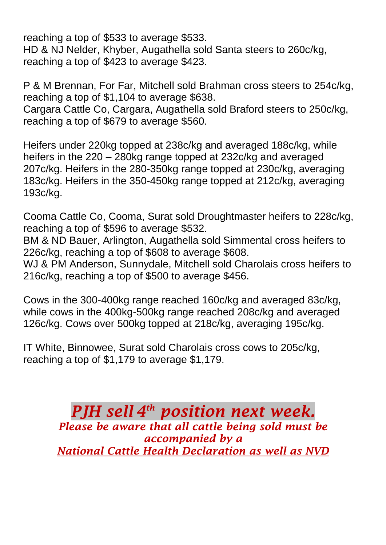reaching a top of \$533 to average \$533. HD & NJ Nelder, Khyber, Augathella sold Santa steers to 260c/kg, reaching a top of \$423 to average \$423.

P & M Brennan, For Far, Mitchell sold Brahman cross steers to 254c/kg, reaching a top of \$1,104 to average \$638. Cargara Cattle Co, Cargara, Augathella sold Braford steers to 250c/kg, reaching a top of \$679 to average \$560.

Heifers under 220kg topped at 238c/kg and averaged 188c/kg, while heifers in the 220 – 280kg range topped at 232c/kg and averaged 207c/kg. Heifers in the 280-350kg range topped at 230c/kg, averaging 183c/kg. Heifers in the 350-450kg range topped at 212c/kg, averaging 193c/kg.

Cooma Cattle Co, Cooma, Surat sold Droughtmaster heifers to 228c/kg, reaching a top of \$596 to average \$532.

BM & ND Bauer, Arlington, Augathella sold Simmental cross heifers to 226c/kg, reaching a top of \$608 to average \$608.

WJ & PM Anderson, Sunnydale, Mitchell sold Charolais cross heifers to 216c/kg, reaching a top of \$500 to average \$456.

Cows in the 300-400kg range reached 160c/kg and averaged 83c/kg, while cows in the 400kg-500kg range reached 208c/kg and averaged 126c/kg. Cows over 500kg topped at 218c/kg, averaging 195c/kg.

IT White, Binnowee, Surat sold Charolais cross cows to 205c/kg, reaching a top of \$1,179 to average \$1,179.

> *PJH sell 4 th position next week. Please be aware that all cattle being sold must be accompanied by a National Cattle Health Declaration as well as NVD*